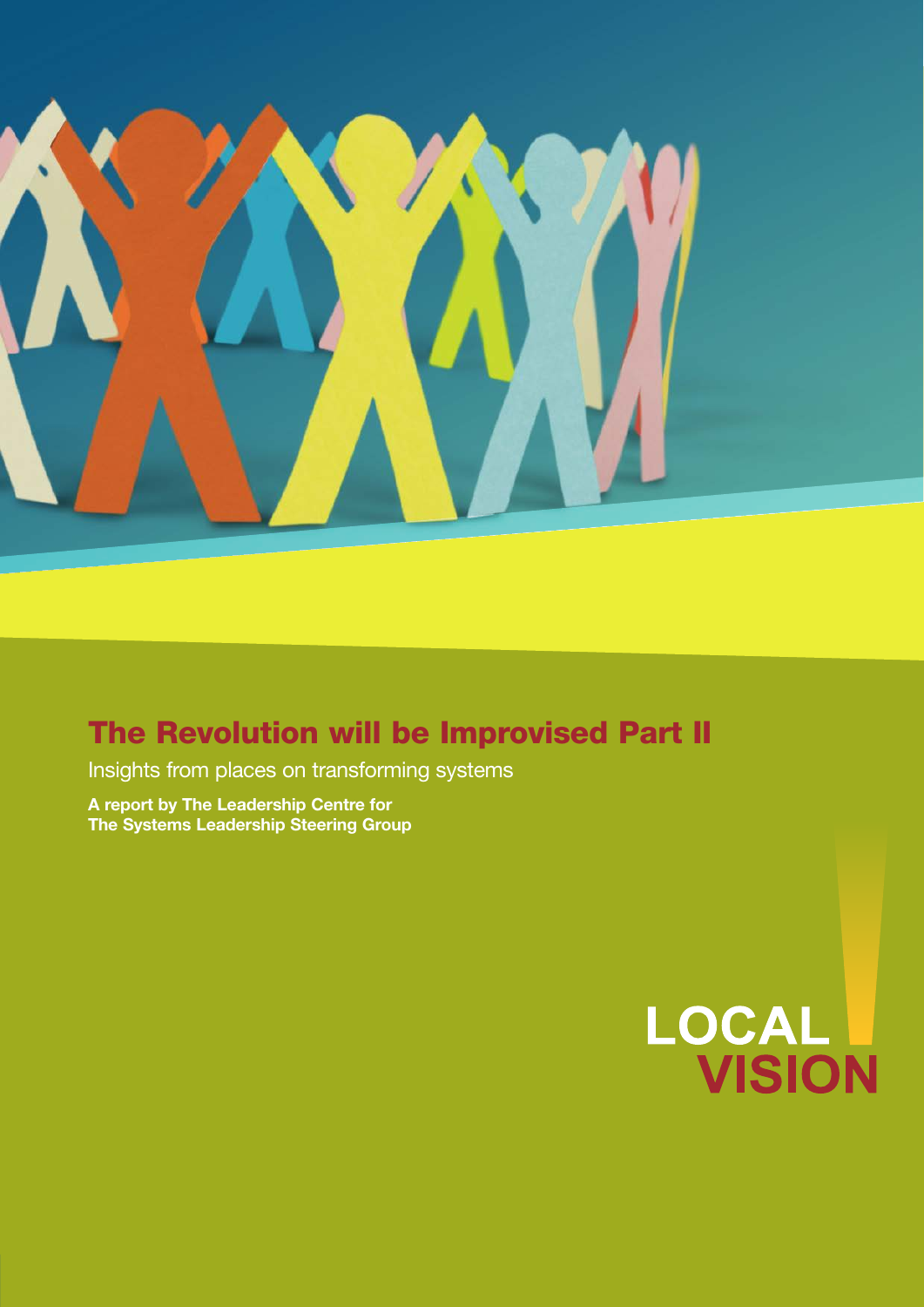

# The Revolution will be Improvised Part II

Insights from places on transforming systems

**A report by The Leadership Centre for The Systems Leadership Steering Group** 

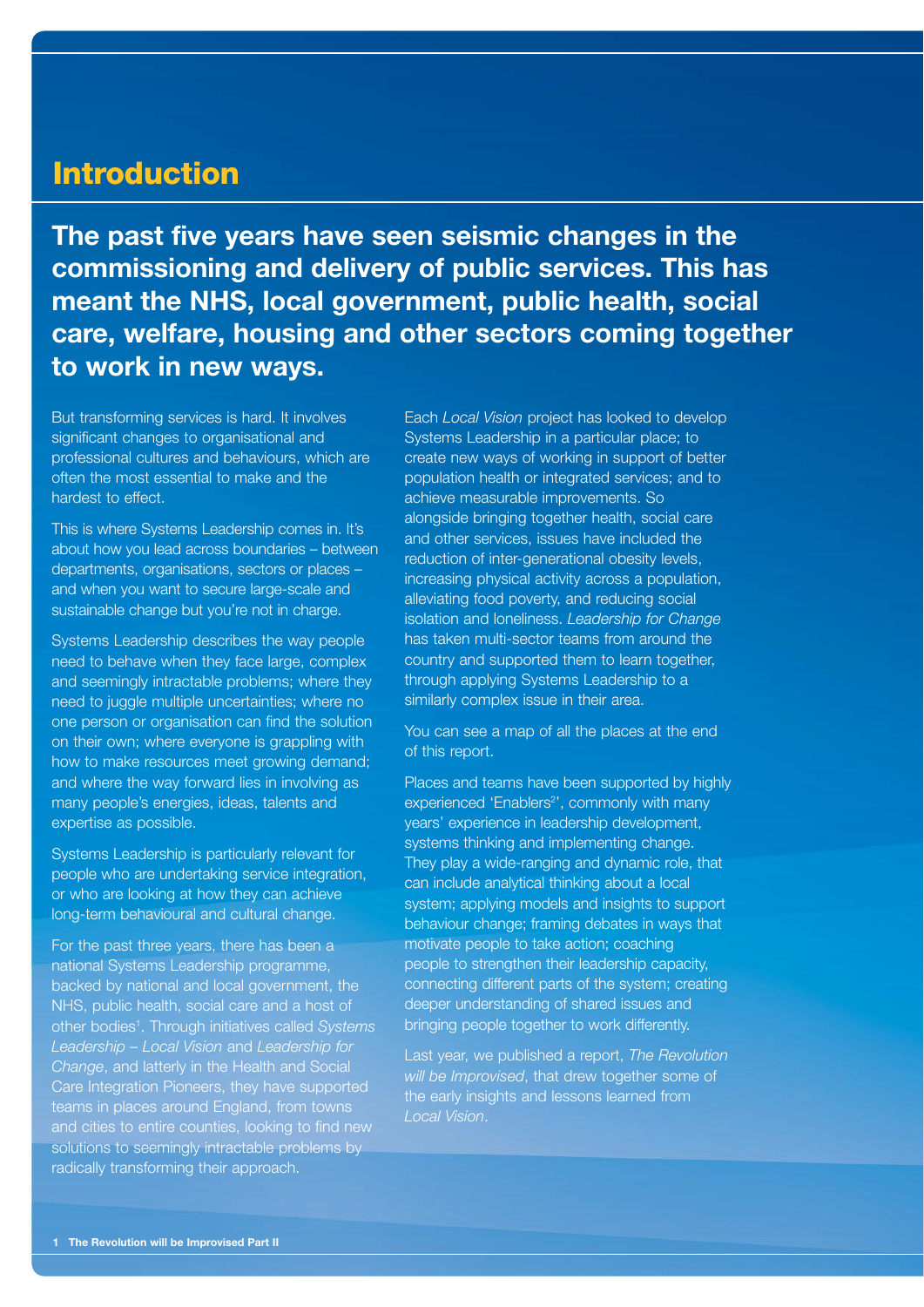### **Introduction**

**The past five years have seen seismic changes in the commissioning and delivery of public services. This has meant the NHS, local government, public health, social care, welfare, housing and other sectors coming together to work in new ways.**

But transforming services is hard. It involves significant changes to organisational and professional cultures and behaviours, which are often the most essential to make and the hardest to effect.

This is where Systems Leadership comes in. It's about how you lead across boundaries – between departments, organisations, sectors or places – and when you want to secure large-scale and sustainable change but you're not in charge.

Systems Leadership describes the way people need to behave when they face large, complex and seemingly intractable problems; where they need to juggle multiple uncertainties; where no one person or organisation can find the solution on their own; where everyone is grappling with how to make resources meet growing demand; and where the way forward lies in involving as many people's energies, ideas, talents and expertise as possible.

Systems Leadership is particularly relevant for people who are undertaking service integration, or who are looking at how they can achieve long-term behavioural and cultural change.

For the past three years, there has been a national Systems Leadership programme, backed by national and local government, the NHS, public health, social care and a host of other bodies1 . Through initiatives called *Systems Leadership – Local Vision* and *Leadership for Change*, and latterly in the Health and Social Care Integration Pioneers, they have supported teams in places around England, from towns solutions to seemingly intractable problems by radically transforming their approach.

Each *Local Vision* project has looked to develop Systems Leadership in a particular place; to create new ways of working in support of better population health or integrated services; and to achieve measurable improvements. So alongside bringing together health, social care and other services, issues have included the reduction of inter-generational obesity levels, increasing physical activity across a population, alleviating food poverty, and reducing social isolation and loneliness. *Leadership for Change* has taken multi-sector teams from around the country and supported them to learn together, through applying Systems Leadership to a similarly complex issue in their area.

You can see a map of all the places at the end of this report.

Places and teams have been supported by highly experienced 'Enablers<sup>2</sup>', commonly with many years' experience in leadership development, systems thinking and implementing change. They play a wide-ranging and dynamic role, that can include analytical thinking about a local system; applying models and insights to support behaviour change; framing debates in ways that motivate people to take action; coaching people to strengthen their leadership capacity, connecting different parts of the system; creating deeper understanding of shared issues and bringing people together to work differently.

Last year, we published a report, *The Revolution will be Improvised*, that drew together some of the early insights and lessons learned from *Local Vision*.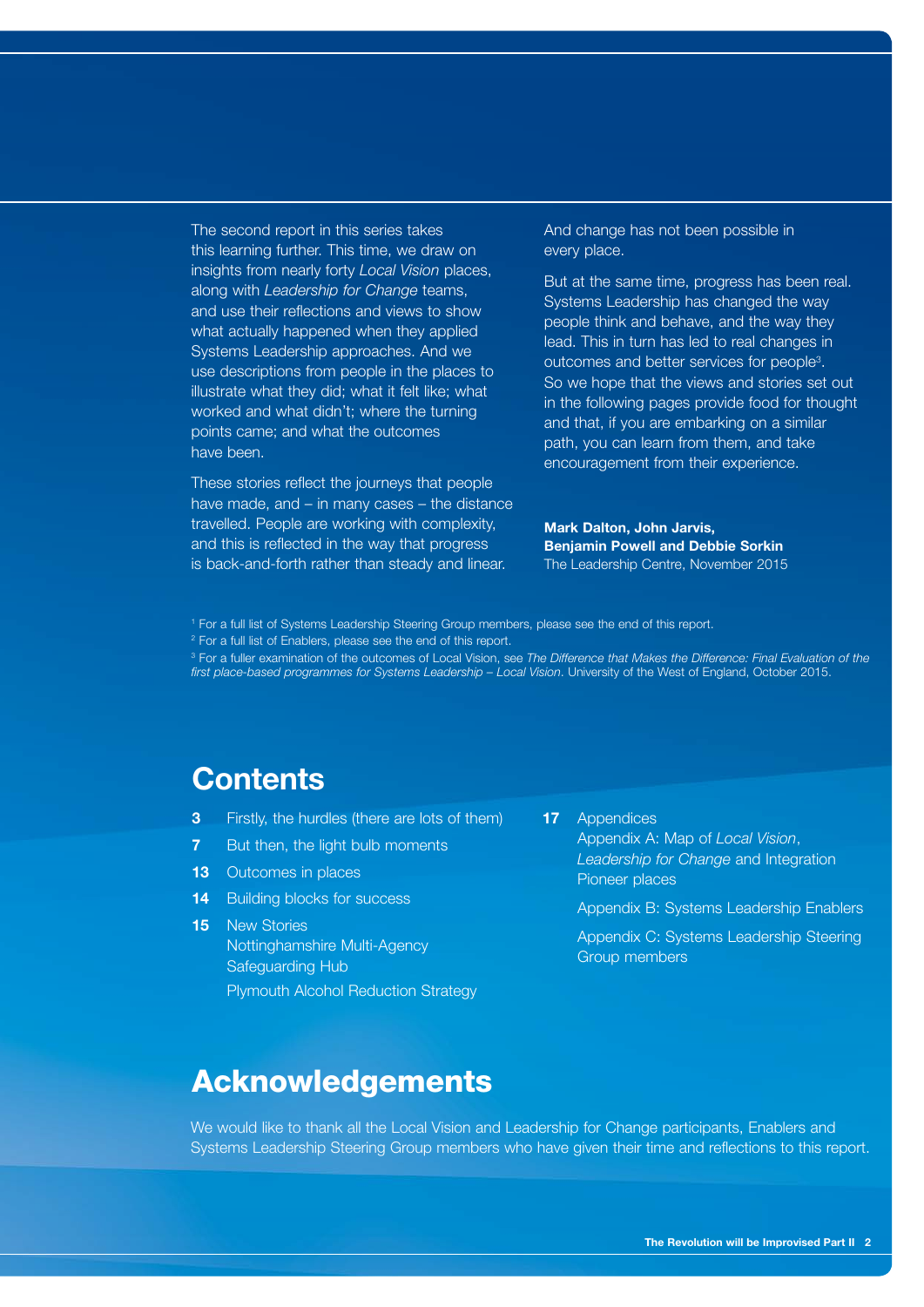The second report in this series takes this learning further. This time, we draw on insights from nearly forty *Local Vision* places, along with *Leadership for Change* teams, and use their reflections and views to show what actually happened when they applied Systems Leadership approaches. And we use descriptions from people in the places to illustrate what they did; what it felt like; what worked and what didn't; where the turning points came; and what the outcomes have been.

These stories reflect the journeys that people have made, and – in many cases – the distance travelled. People are working with complexity, and this is reflected in the way that progress is back-and-forth rather than steady and linear.

And change has not been possible in every place.

But at the same time, progress has been real. Systems Leadership has changed the way people think and behave, and the way they lead. This in turn has led to real changes in outcomes and better services for people3 . So we hope that the views and stories set out in the following pages provide food for thought and that, if you are embarking on a similar path, you can learn from them, and take encouragement from their experience.

**Mark Dalton, John Jarvis, Benjamin Powell and Debbie Sorkin** The Leadership Centre, November 2015

1 For a full list of Systems Leadership Steering Group members, please see the end of this report.

2 For a full list of Enablers, please see the end of this report.

<sup>3</sup> For a fuller examination of the outcomes of Local Vision, see *The Difference that Makes the Difference: Final Evaluation of the* first place-based programmes for Systems Leadership - Local Vision. University of the West of England, October 2015.

# **Contents**

- **3** Firstly, the hurdles (there are lots of them)
- **7** But then, the light bulb moments
- **13** Outcomes in places
- **14** Building blocks for success
- **15** New Stories Nottinghamshire Multi-Agency Safeguarding Hub Plymouth Alcohol Reduction Strategy

**17** Appendices Appendix A: Map of *Local Vision*, *Leadership for Change* and Integration Pioneer places

Appendix B: Systems Leadership Enablers

Appendix C: Systems Leadership Steering Group members

### Acknowledgements

We would like to thank all the Local Vision and Leadership for Change participants, Enablers and Systems Leadership Steering Group members who have given their time and reflections to this report.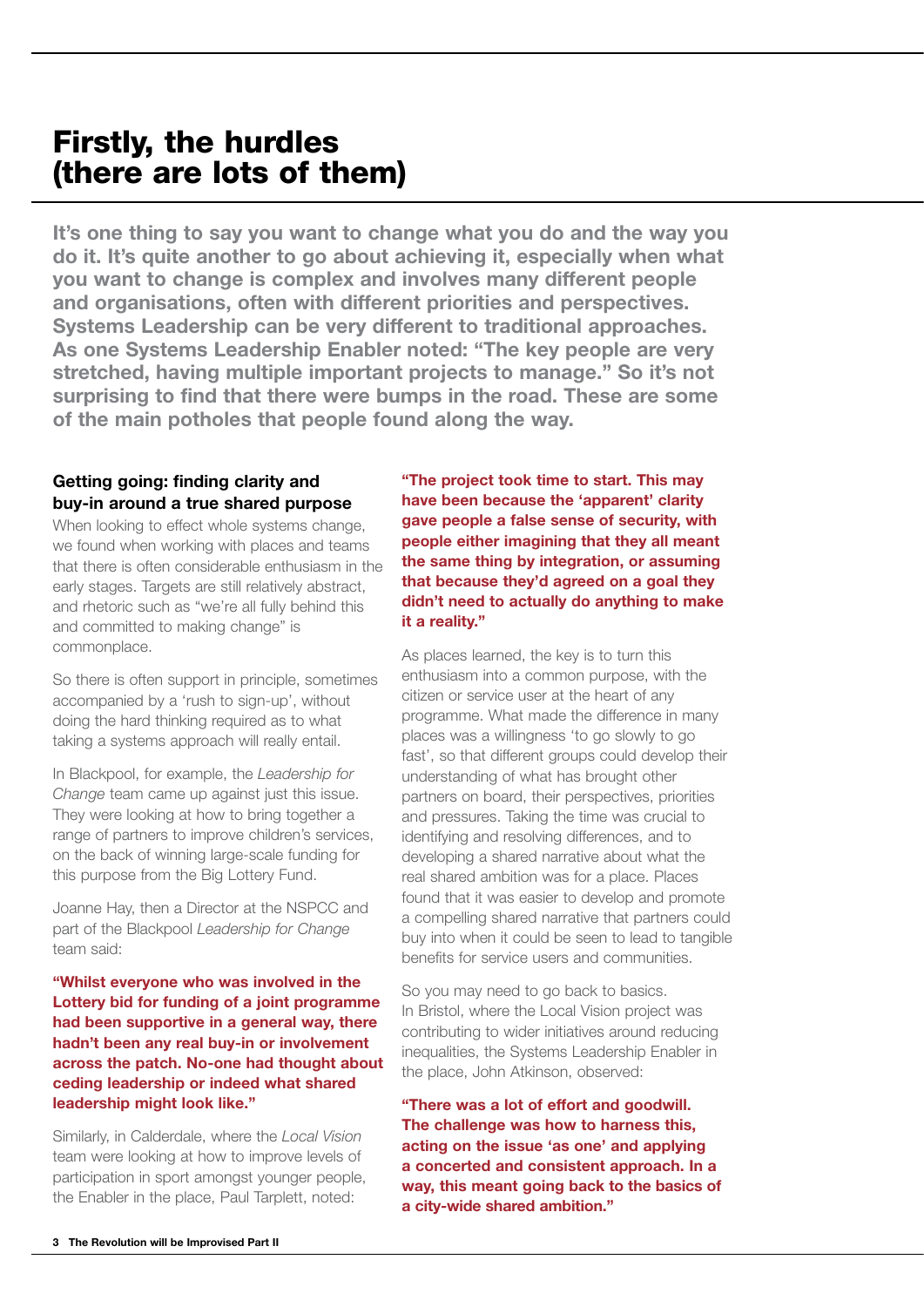# Firstly, the hurdles (there are lots of them)

**It's one thing to say you want to change what you do and the way you do it. It's quite another to go about achieving it, especially when what you want to change is complex and involves many different people and organisations, often with different priorities and perspectives. Systems Leadership can be very different to traditional approaches. As one Systems Leadership Enabler noted: "The key people are very stretched, having multiple important projects to manage." So it's not surprising to find that there were bumps in the road. These are some of the main potholes that people found along the way.**

#### **Getting going: finding clarity and buy-in around a true shared purpose**

When looking to effect whole systems change, we found when working with places and teams that there is often considerable enthusiasm in the early stages. Targets are still relatively abstract, and rhetoric such as "we're all fully behind this and committed to making change" is commonplace.

So there is often support in principle, sometimes accompanied by a 'rush to sign-up', without doing the hard thinking required as to what taking a systems approach will really entail.

In Blackpool, for example, the *Leadership for Change* team came up against just this issue. They were looking at how to bring together a range of partners to improve children's services, on the back of winning large-scale funding for this purpose from the Big Lottery Fund.

Joanne Hay, then a Director at the NSPCC and part of the Blackpool *Leadership for Change* team said:

**"Whilst everyone who was involved in the Lottery bid for funding of a joint programme had been supportive in a general way, there hadn't been any real buy-in or involvement across the patch. No-one had thought about ceding leadership or indeed what shared leadership might look like."**

Similarly, in Calderdale, where the *Local Vision* team were looking at how to improve levels of participation in sport amongst younger people, the Enabler in the place, Paul Tarplett, noted:

**"The project took time to start. This may have been because the 'apparent' clarity gave people a false sense of security, with people either imagining that they all meant the same thing by integration, or assuming that because they'd agreed on a goal they didn't need to actually do anything to make it a reality."**

As places learned, the key is to turn this enthusiasm into a common purpose, with the citizen or service user at the heart of any programme. What made the difference in many places was a willingness 'to go slowly to go fast', so that different groups could develop their understanding of what has brought other partners on board, their perspectives, priorities and pressures. Taking the time was crucial to identifying and resolving differences, and to developing a shared narrative about what the real shared ambition was for a place. Places found that it was easier to develop and promote a compelling shared narrative that partners could buy into when it could be seen to lead to tangible benefits for service users and communities.

So you may need to go back to basics. In Bristol, where the Local Vision project was contributing to wider initiatives around reducing inequalities, the Systems Leadership Enabler in the place, John Atkinson, observed:

**"There was a lot of effort and goodwill. The challenge was how to harness this, acting on the issue 'as one' and applying a concerted and consistent approach. In a way, this meant going back to the basics of a city-wide shared ambition."**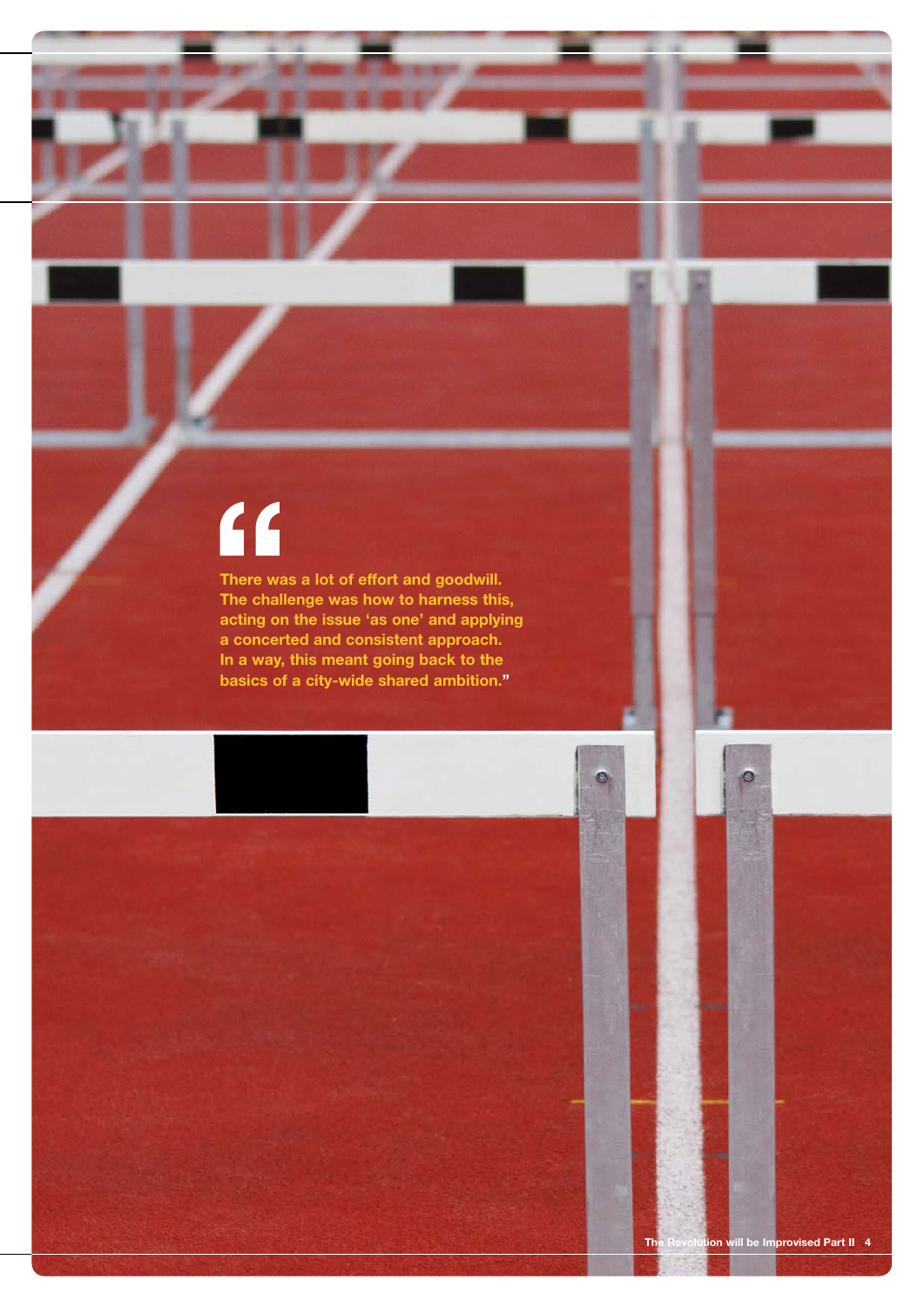# $\overline{\mathbf{f}}$

**There was a lot of effort and goodwill. The challenge was how to harness this, acting on the issue 'as one' and applying a concerted and consistent approach. In a way, this meant going back to the basics of a city-wide shared ambition."**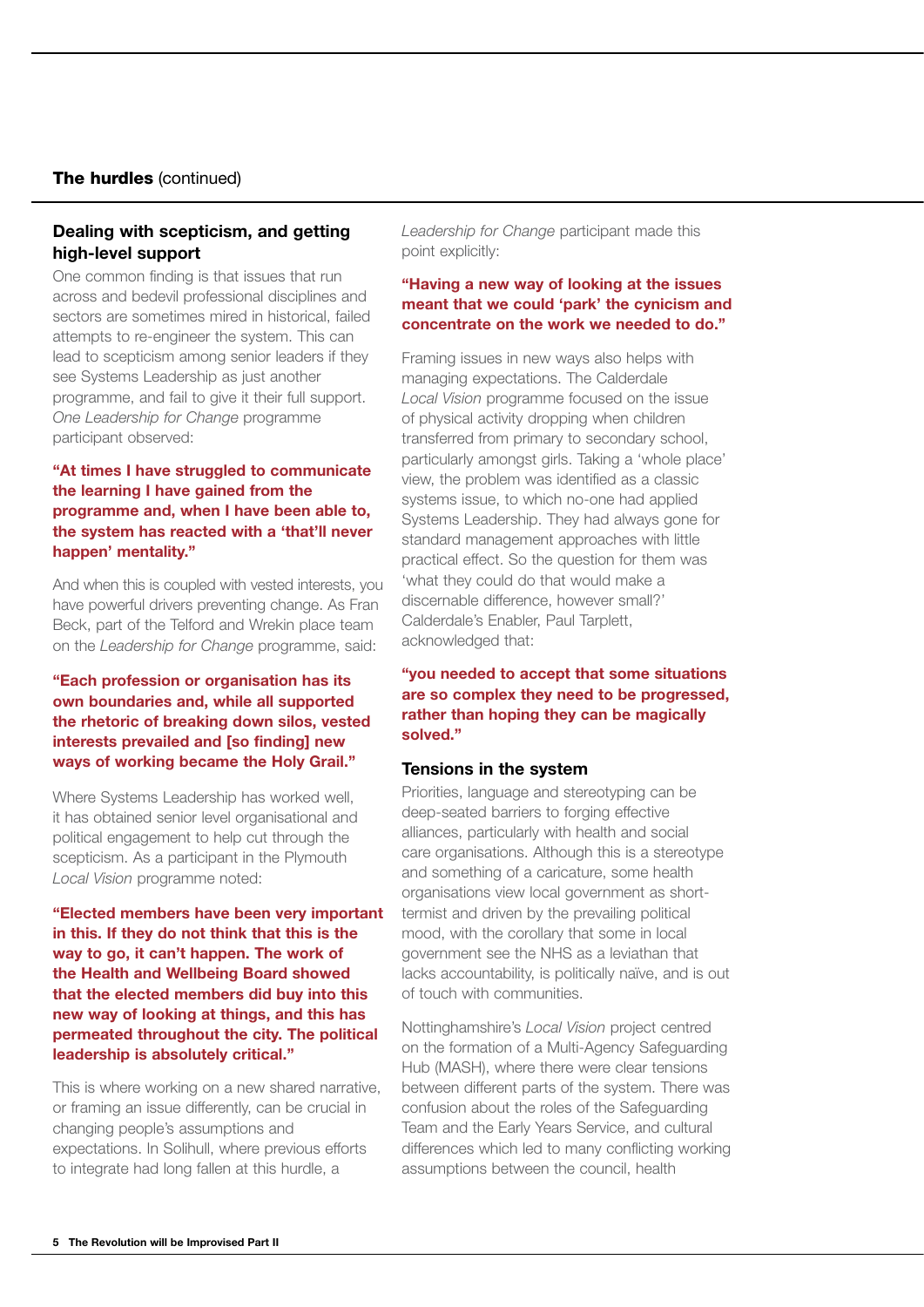#### The hurdles (continued)

#### **Dealing with scepticism, and getting high-level support**

One common finding is that issues that run across and bedevil professional disciplines and sectors are sometimes mired in historical, failed attempts to re-engineer the system. This can lead to scepticism among senior leaders if they see Systems Leadership as just another programme, and fail to give it their full support. *One Leadership for Change* programme participant observed:

#### **"At times I have struggled to communicate the learning I have gained from the programme and, when I have been able to, the system has reacted with a 'that'll never happen' mentality."**

And when this is coupled with vested interests, you have powerful drivers preventing change. As Fran Beck, part of the Telford and Wrekin place team on the *Leadership for Change* programme, said:

#### **"Each profession or organisation has its own boundaries and, while all supported the rhetoric of breaking down silos, vested interests prevailed and [so finding] new ways of working became the Holy Grail."**

Where Systems Leadership has worked well, it has obtained senior level organisational and political engagement to help cut through the scepticism. As a participant in the Plymouth *Local Vision* programme noted:

**"Elected members have been very important in this. If they do not think that this is the way to go, it can't happen. The work of the Health and Wellbeing Board showed that the elected members did buy into this new way of looking at things, and this has permeated throughout the city. The political leadership is absolutely critical."**

This is where working on a new shared narrative, or framing an issue differently, can be crucial in changing people's assumptions and expectations. In Solihull, where previous efforts to integrate had long fallen at this hurdle, a

*Leadership for Change* participant made this point explicitly:

#### **"Having a new way of looking at the issues meant that we could 'park' the cynicism and concentrate on the work we needed to do."**

Framing issues in new ways also helps with managing expectations. The Calderdale *Local Vision* programme focused on the issue of physical activity dropping when children transferred from primary to secondary school, particularly amongst girls. Taking a 'whole place' view, the problem was identified as a classic systems issue, to which no-one had applied Systems Leadership. They had always gone for standard management approaches with little practical effect. So the question for them was 'what they could do that would make a discernable difference, however small?' Calderdale's Enabler, Paul Tarplett, acknowledged that:

#### **"you needed to accept that some situations are so complex they need to be progressed, rather than hoping they can be magically solved."**

#### **Tensions in the system**

Priorities, language and stereotyping can be deep-seated barriers to forging effective alliances, particularly with health and social care organisations. Although this is a stereotype and something of a caricature, some health organisations view local government as shorttermist and driven by the prevailing political mood, with the corollary that some in local government see the NHS as a leviathan that lacks accountability, is politically naïve, and is out of touch with communities.

Nottinghamshire's *Local Vision* project centred on the formation of a Multi-Agency Safeguarding Hub (MASH), where there were clear tensions between different parts of the system. There was confusion about the roles of the Safeguarding Team and the Early Years Service, and cultural differences which led to many conflicting working assumptions between the council, health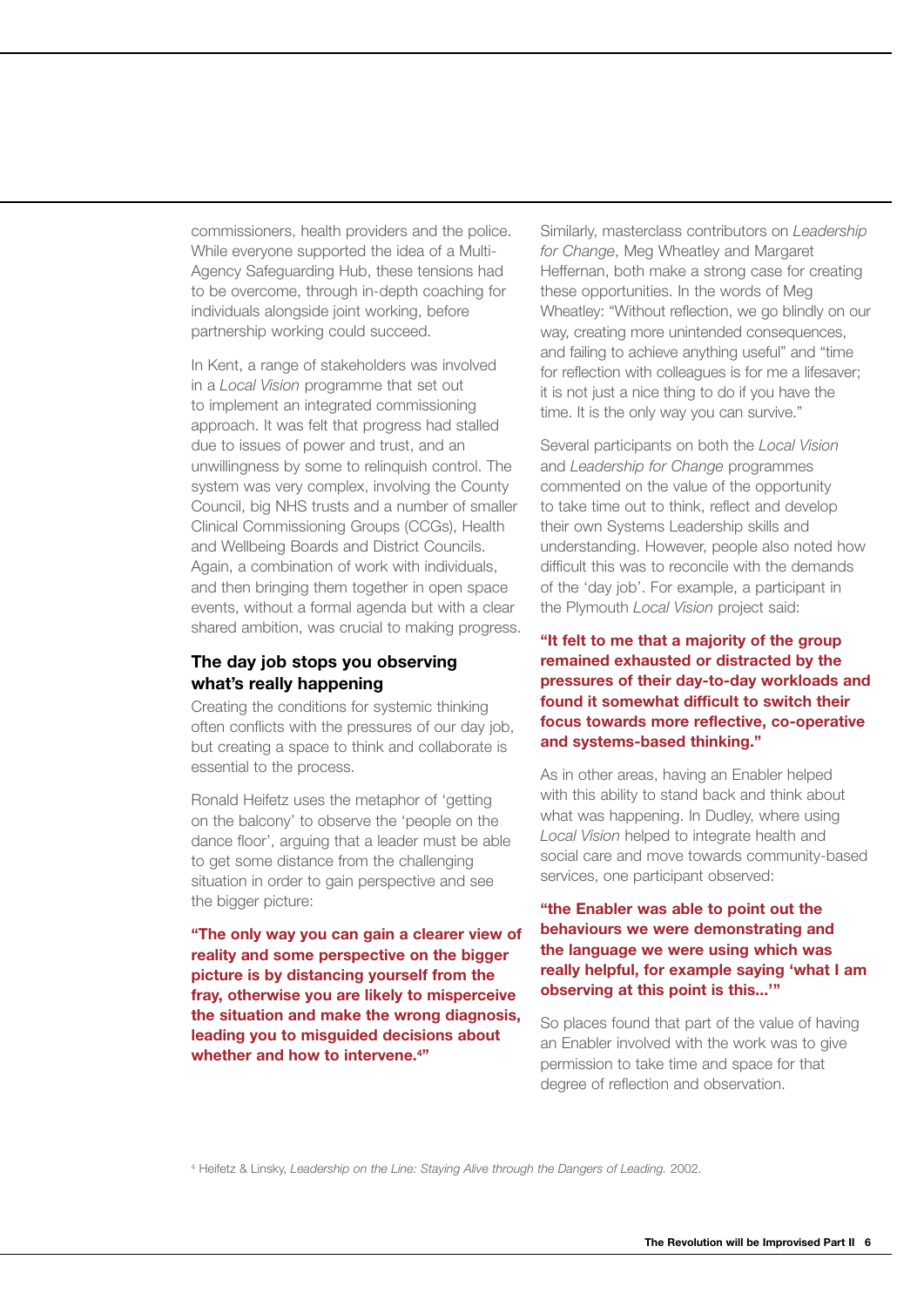commissioners, health providers and the police. While everyone supported the idea of a Multi-Agency Safeguarding Hub, these tensions had to be overcome, through in-depth coaching for individuals alongside joint working, before partnership working could succeed.

In Kent, a range of stakeholders was involved in a *Local Vision* programme that set out to implement an integrated commissioning approach. It was felt that progress had stalled due to issues of power and trust, and an unwillingness by some to relinquish control. The system was very complex, involving the County Council, big NHS trusts and a number of smaller Clinical Commissioning Groups (CCGs), Health and Wellbeing Boards and District Councils. Again, a combination of work with individuals, and then bringing them together in open space events, without a formal agenda but with a clear shared ambition, was crucial to making progress.

#### **The day job stops you observing what's really happening**

Creating the conditions for systemic thinking often conflicts with the pressures of our day job, but creating a space to think and collaborate is essential to the process.

Ronald Heifetz uses the metaphor of 'getting on the balcony' to observe the 'people on the dance floor', arguing that a leader must be able to get some distance from the challenging situation in order to gain perspective and see the bigger picture:

**"The only way you can gain a clearer view of reality and some perspective on the bigger picture is by distancing yourself from the fray, otherwise you are likely to misperceive the situation and make the wrong diagnosis, leading you to misguided decisions about whether and how to intervene.4 "**

Similarly, masterclass contributors on *Leadership for Change*, Meg Wheatley and Margaret Heffernan, both make a strong case for creating these opportunities. In the words of Meg Wheatley: "Without reflection, we go blindly on our way, creating more unintended consequences, and failing to achieve anything useful" and "time for reflection with colleagues is for me a lifesaver; it is not just a nice thing to do if you have the time. It is the only way you can survive."

Several participants on both the *Local Vision* and *Leadership for Change* programmes commented on the value of the opportunity to take time out to think, reflect and develop their own Systems Leadership skills and understanding. However, people also noted how difficult this was to reconcile with the demands of the 'day job'. For example, a participant in the Plymouth *Local Vision* project said:

#### **"It felt to me that a majority of the group remained exhausted or distracted by the pressures of their day-to-day workloads and found it somewhat difficult to switch their focus towards more reflective, co-operative and systems-based thinking."**

As in other areas, having an Enabler helped with this ability to stand back and think about what was happening. In Dudley, where using *Local Vision* helped to integrate health and social care and move towards community-based services, one participant observed:

#### **"the Enabler was able to point out the behaviours we were demonstrating and the language we were using which was really helpful, for example saying 'what I am observing at this point is this...'"**

So places found that part of the value of having an Enabler involved with the work was to give permission to take time and space for that degree of reflection and observation.

4 Heifetz & Linsky, *Leadership on the Line: Staying Alive through the Dangers of Leading.* 2002.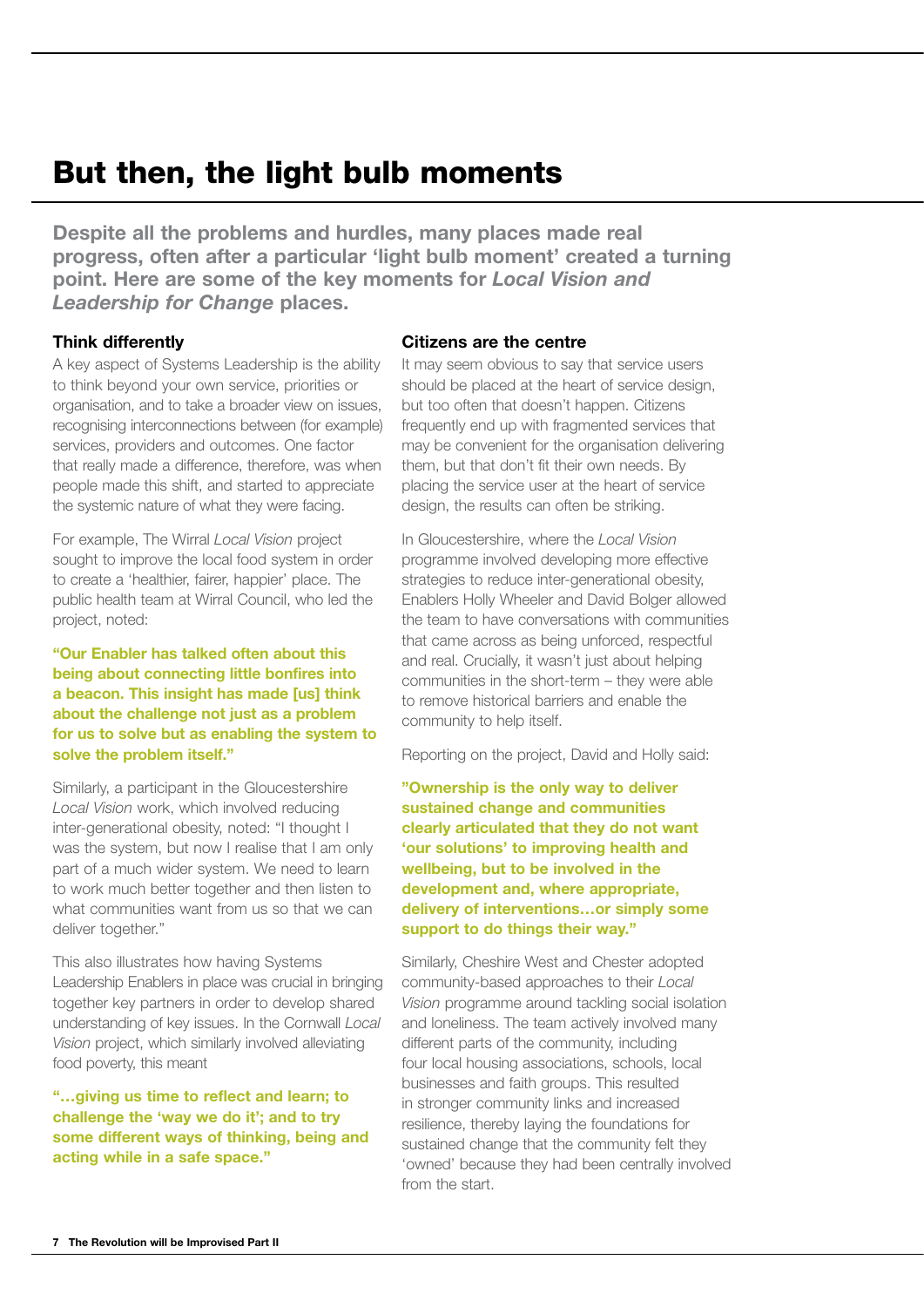# But then, the light bulb moments

**Despite all the problems and hurdles, many places made real progress, often after a particular 'light bulb moment' created a turning point. Here are some of the key moments for** *Local Vision and Leadership for Change* **places.** 

#### **Think differently**

A key aspect of Systems Leadership is the ability to think beyond your own service, priorities or organisation, and to take a broader view on issues, recognising interconnections between (for example) services, providers and outcomes. One factor that really made a difference, therefore, was when people made this shift, and started to appreciate the systemic nature of what they were facing.

For example, The Wirral *Local Vision* project sought to improve the local food system in order to create a 'healthier, fairer, happier' place. The public health team at Wirral Council, who led the project, noted:

#### **"Our Enabler has talked often about this being about connecting little bonfires into a beacon. This insight has made [us] think about the challenge not just as a problem for us to solve but as enabling the system to solve the problem itself."**

Similarly, a participant in the Gloucestershire *Local Vision* work, which involved reducing inter-generational obesity, noted: "I thought I was the system, but now I realise that I am only part of a much wider system. We need to learn to work much better together and then listen to what communities want from us so that we can deliver together."

This also illustrates how having Systems Leadership Enablers in place was crucial in bringing together key partners in order to develop shared understanding of key issues. In the Cornwall *Local Vision* project, which similarly involved alleviating food poverty, this meant

**"…giving us time to reflect and learn; to challenge the 'way we do it'; and to try some different ways of thinking, being and acting while in a safe space."** 

#### **Citizens are the centre**

It may seem obvious to say that service users should be placed at the heart of service design, but too often that doesn't happen. Citizens frequently end up with fragmented services that may be convenient for the organisation delivering them, but that don't fit their own needs. By placing the service user at the heart of service design, the results can often be striking.

In Gloucestershire, where the *Local Vision* programme involved developing more effective strategies to reduce inter-generational obesity, Enablers Holly Wheeler and David Bolger allowed the team to have conversations with communities that came across as being unforced, respectful and real. Crucially, it wasn't just about helping communities in the short-term – they were able to remove historical barriers and enable the community to help itself.

Reporting on the project, David and Holly said:

**"Ownership is the only way to deliver sustained change and communities clearly articulated that they do not want 'our solutions' to improving health and wellbeing, but to be involved in the development and, where appropriate, delivery of interventions…or simply some support to do things their way."**

Similarly, Cheshire West and Chester adopted community-based approaches to their *Local Vision* programme around tackling social isolation and loneliness. The team actively involved many different parts of the community, including four local housing associations, schools, local businesses and faith groups. This resulted in stronger community links and increased resilience, thereby laying the foundations for sustained change that the community felt they 'owned' because they had been centrally involved from the start.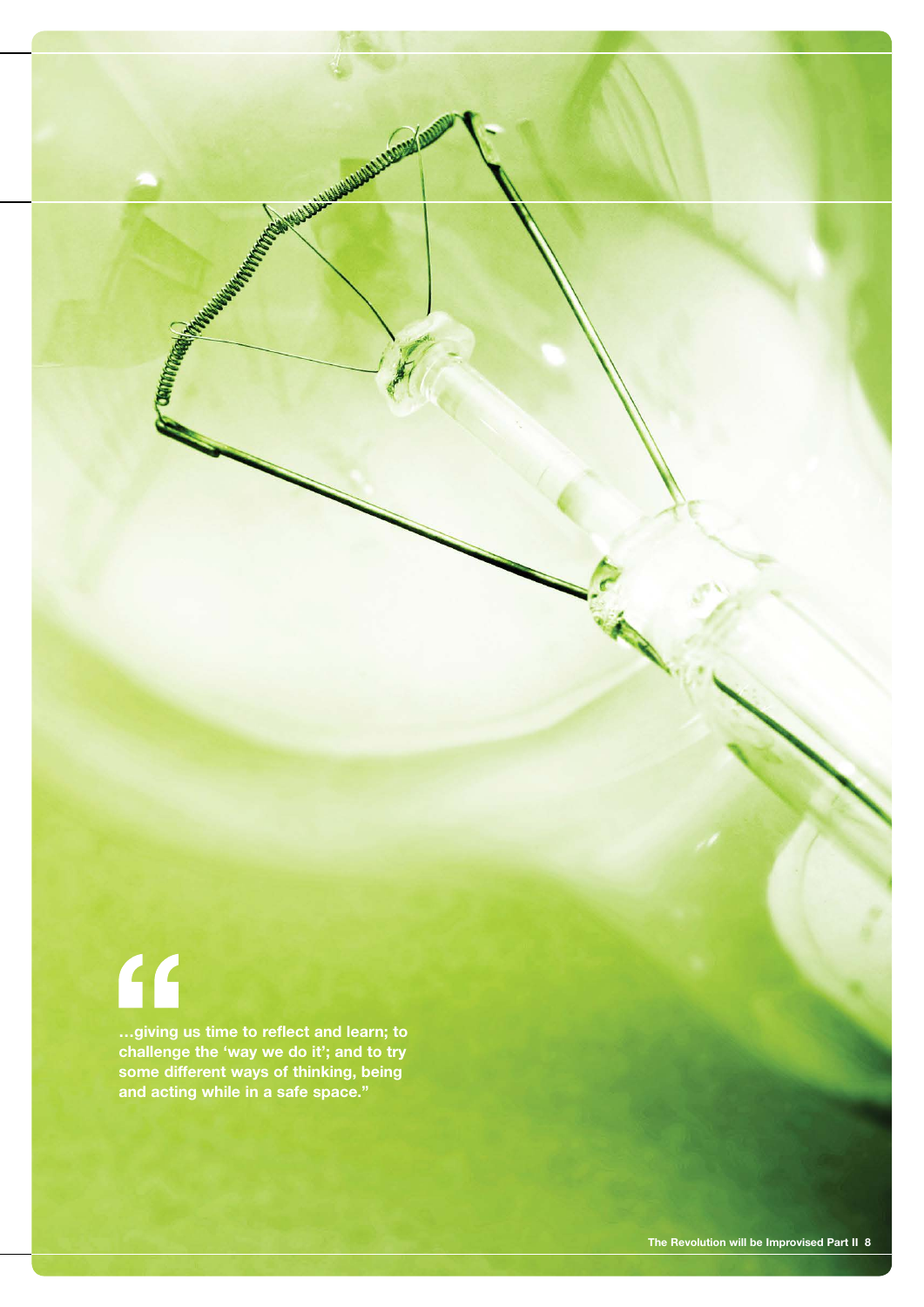# $\overline{11}$

**…giving us time to reflect and learn; to challenge the 'way we do it'; and to try some different ways of thinking, being and acting while in a safe space."**

COMMUNICATION AND INTERNATIONAL PROPERTY AND INCORPORATION AND INCORPORATION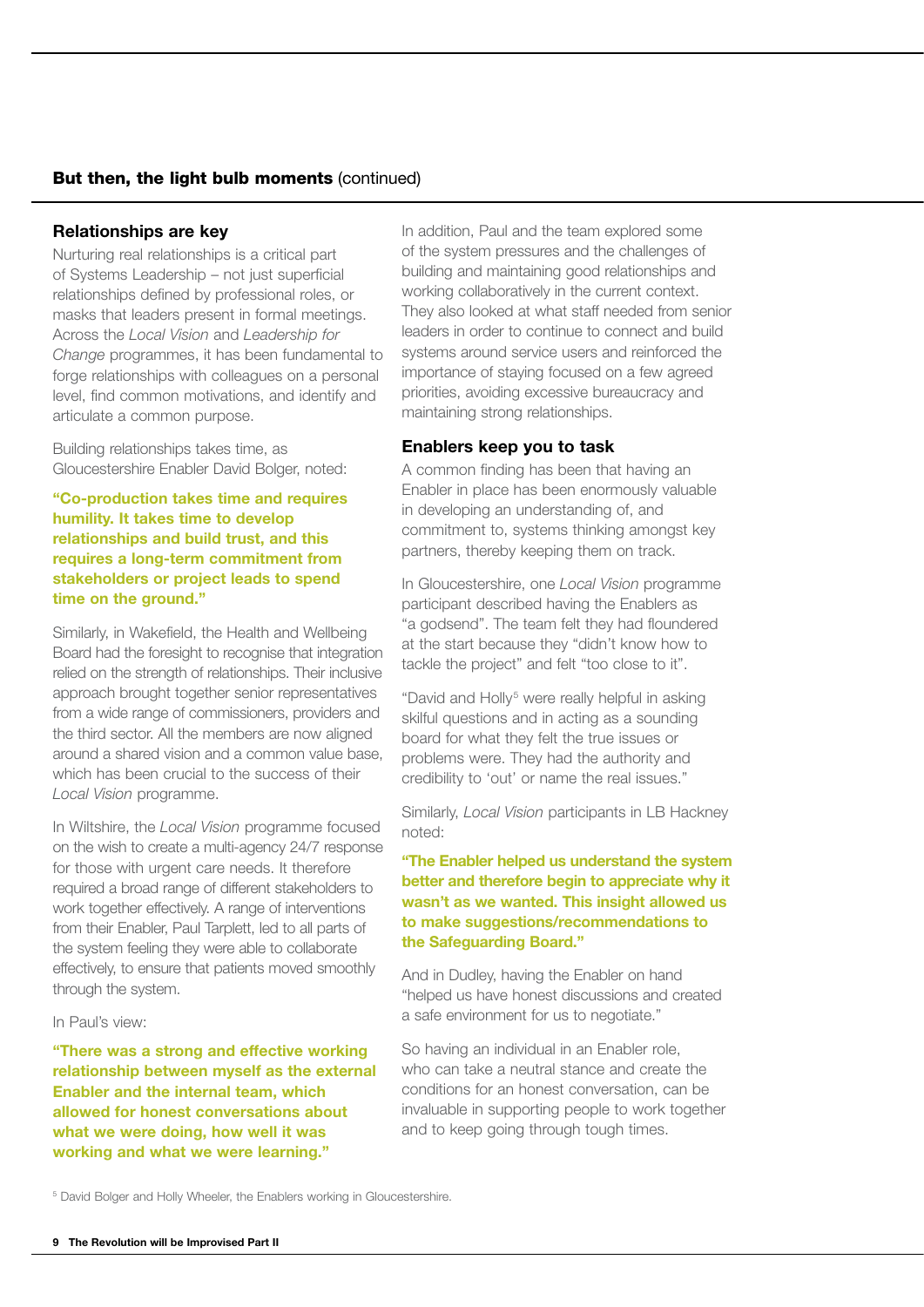#### But then, the light bulb moments (continued)

#### **Relationships are key**

Nurturing real relationships is a critical part of Systems Leadership – not just superficial relationships defined by professional roles, or masks that leaders present in formal meetings. Across the *Local Vision* and *Leadership for Change* programmes, it has been fundamental to forge relationships with colleagues on a personal level, find common motivations, and identify and articulate a common purpose.

Building relationships takes time, as Gloucestershire Enabler David Bolger, noted:

#### **"Co-production takes time and requires humility. It takes time to develop relationships and build trust, and this requires a long-term commitment from stakeholders or project leads to spend time on the ground."**

Similarly, in Wakefield, the Health and Wellbeing Board had the foresight to recognise that integration relied on the strength of relationships. Their inclusive approach brought together senior representatives from a wide range of commissioners, providers and the third sector. All the members are now aligned around a shared vision and a common value base, which has been crucial to the success of their *Local Vision* programme.

In Wiltshire, the *Local Vision* programme focused on the wish to create a multi-agency 24/7 response for those with urgent care needs. It therefore required a broad range of different stakeholders to work together effectively. A range of interventions from their Enabler. Paul Tarplett, led to all parts of the system feeling they were able to collaborate effectively, to ensure that patients moved smoothly through the system.

#### In Paul's view:

**"There was a strong and effective working relationship between myself as the external Enabler and the internal team, which allowed for honest conversations about what we were doing, how well it was working and what we were learning."** 

In addition, Paul and the team explored some of the system pressures and the challenges of building and maintaining good relationships and working collaboratively in the current context. They also looked at what staff needed from senior leaders in order to continue to connect and build systems around service users and reinforced the importance of staying focused on a few agreed priorities, avoiding excessive bureaucracy and maintaining strong relationships.

#### **Enablers keep you to task**

A common finding has been that having an Enabler in place has been enormously valuable in developing an understanding of, and commitment to, systems thinking amongst key partners, thereby keeping them on track.

In Gloucestershire, one *Local Vision* programme participant described having the Enablers as "a godsend". The team felt they had floundered at the start because they "didn't know how to tackle the project" and felt "too close to it".

"David and Holly<sup>5</sup> were really helpful in asking skilful questions and in acting as a sounding board for what they felt the true issues or problems were. They had the authority and credibility to 'out' or name the real issues."

Similarly, *Local Vision* participants in LB Hackney noted:

**"The Enabler helped us understand the system better and therefore begin to appreciate why it wasn't as we wanted. This insight allowed us to make suggestions/recommendations to the Safeguarding Board."**

And in Dudley, having the Enabler on hand "helped us have honest discussions and created a safe environment for us to negotiate."

So having an individual in an Enabler role, who can take a neutral stance and create the conditions for an honest conversation, can be invaluable in supporting people to work together and to keep going through tough times.

<sup>&</sup>lt;sup>5</sup> David Bolger and Holly Wheeler, the Enablers working in Gloucestershire.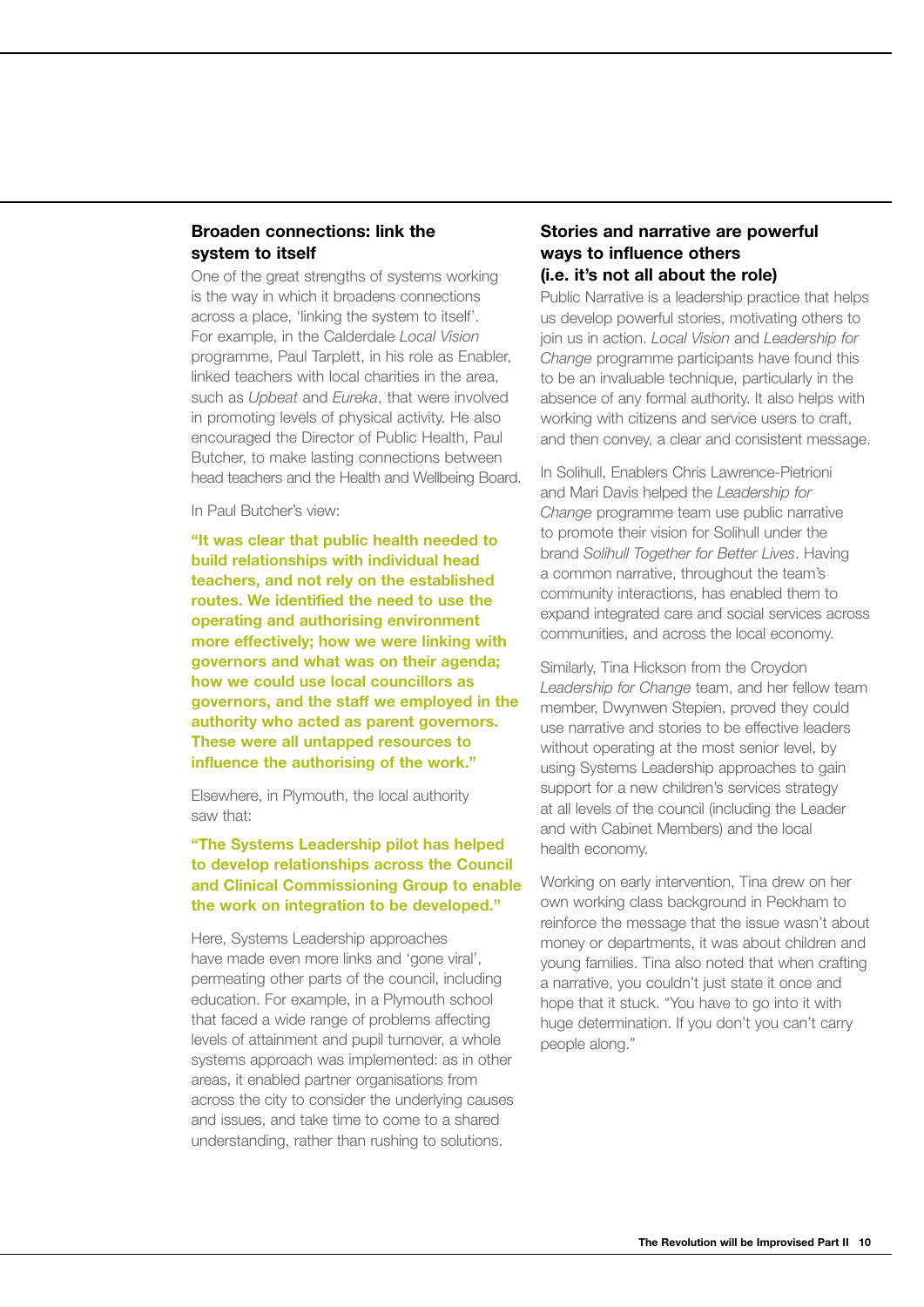#### **Broaden connections: link the system to itself**

One of the great strengths of systems working is the way in which it broadens connections across a place, 'linking the system to itself'. For example, in the Calderdale *Local Vision* programme, Paul Tarplett, in his role as Enabler, linked teachers with local charities in the area, such as *Upbeat* and *Eureka*, that were involved in promoting levels of physical activity. He also encouraged the Director of Public Health, Paul Butcher, to make lasting connections between head teachers and the Health and Wellbeing Board.

In Paul Butcher's view:

**"It was clear that public health needed to build relationships with individual head teachers, and not rely on the established routes. We identified the need to use the operating and authorising environment more effectively; how we were linking with governors and what was on their agenda; how we could use local councillors as governors, and the staff we employed in the authority who acted as parent governors. These were all untapped resources to influence the authorising of the work."**

Elsewhere, in Plymouth, the local authority saw that:

#### **"The Systems Leadership pilot has helped to develop relationships across the Council and Clinical Commissioning Group to enable the work on integration to be developed."**

Here, Systems Leadership approaches have made even more links and 'gone viral', permeating other parts of the council, including education. For example, in a Plymouth school that faced a wide range of problems affecting levels of attainment and pupil turnover, a whole systems approach was implemented: as in other areas, it enabled partner organisations from across the city to consider the underlying causes and issues, and take time to come to a shared understanding, rather than rushing to solutions.

#### **Stories and narrative are powerful ways to influence others (i.e. it's not all about the role)**

Public Narrative is a leadership practice that helps us develop powerful stories, motivating others to join us in action. *Local Vision* and *Leadership for Change* programme participants have found this to be an invaluable technique, particularly in the absence of any formal authority. It also helps with working with citizens and service users to craft, and then convey, a clear and consistent message.

In Solihull, Enablers Chris Lawrence-Pietrioni and Mari Davis helped the *Leadership for Change* programme team use public narrative to promote their vision for Solihull under the brand *Solihull Together for Better Lives*. Having a common narrative, throughout the team's community interactions, has enabled them to expand integrated care and social services across communities, and across the local economy.

Similarly, Tina Hickson from the Croydon *Leadership for Change* team, and her fellow team member, Dwynwen Stepien, proved they could use narrative and stories to be effective leaders without operating at the most senior level, by using Systems Leadership approaches to gain support for a new children's services strategy at all levels of the council (including the Leader and with Cabinet Members) and the local health economy.

Working on early intervention, Tina drew on her own working class background in Peckham to reinforce the message that the issue wasn't about money or departments, it was about children and young families. Tina also noted that when crafting a narrative, you couldn't just state it once and hope that it stuck. "You have to go into it with huge determination. If you don't you can't carry people along."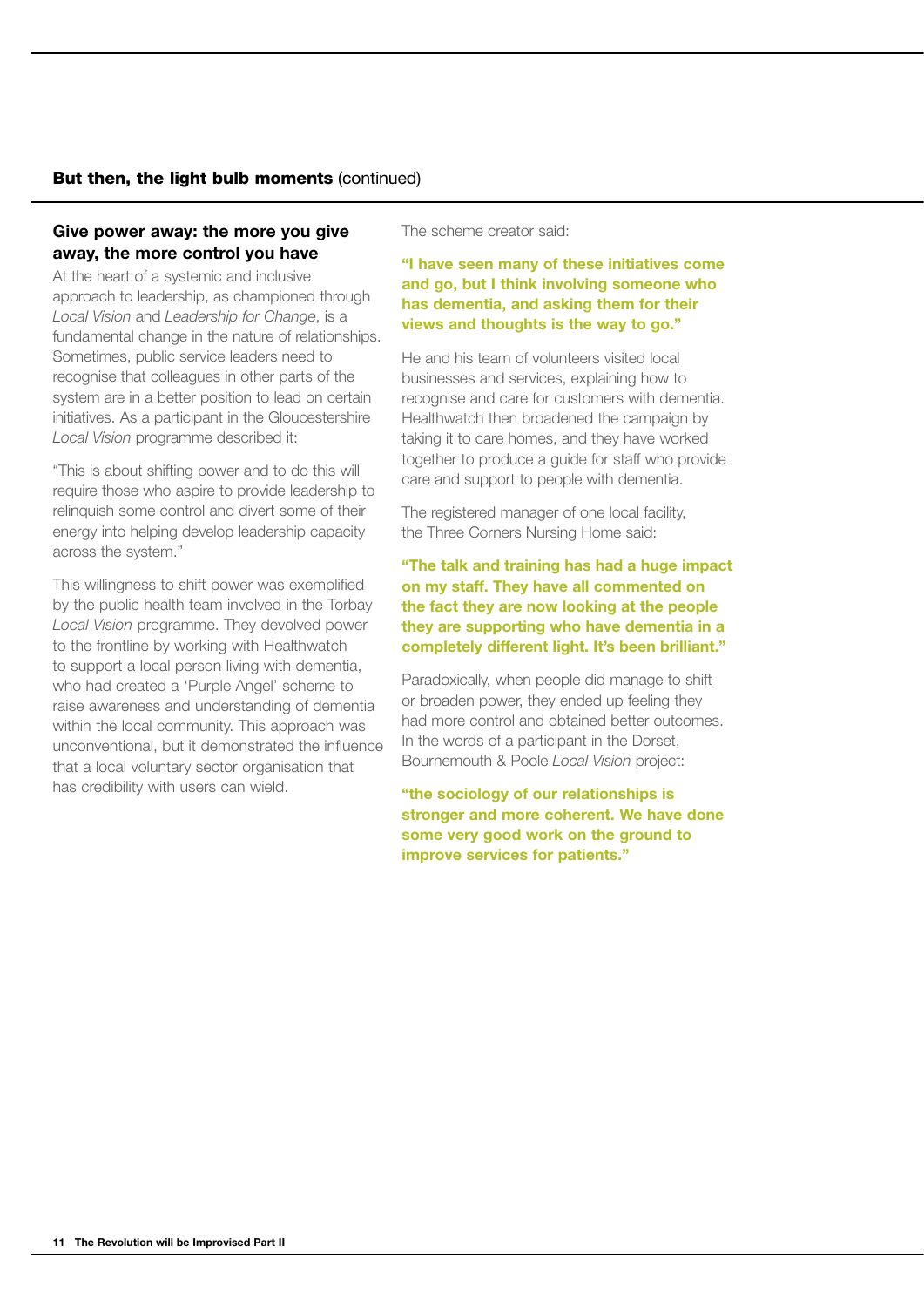#### But then, the light bulb moments (continued)

#### **Give power away: the more you give away, the more control you have**

At the heart of a systemic and inclusive approach to leadership, as championed through *Local Vision* and *Leadership for Change*, is a fundamental change in the nature of relationships. Sometimes, public service leaders need to recognise that colleagues in other parts of the system are in a better position to lead on certain initiatives. As a participant in the Gloucestershire *Local Vision* programme described it:

"This is about shifting power and to do this will require those who aspire to provide leadership to relinquish some control and divert some of their energy into helping develop leadership capacity across the system."

This willingness to shift power was exemplified by the public health team involved in the Torbay *Local Vision* programme. They devolved power to the frontline by working with Healthwatch to support a local person living with dementia, who had created a 'Purple Angel' scheme to raise awareness and understanding of dementia within the local community. This approach was unconventional, but it demonstrated the influence that a local voluntary sector organisation that has credibility with users can wield.

The scheme creator said:

#### **"I have seen many of these initiatives come and go, but I think involving someone who has dementia, and asking them for their views and thoughts is the way to go."**

He and his team of volunteers visited local businesses and services, explaining how to recognise and care for customers with dementia. Healthwatch then broadened the campaign by taking it to care homes, and they have worked together to produce a guide for staff who provide care and support to people with dementia.

The registered manager of one local facility, the Three Corners Nursing Home said:

#### **"The talk and training has had a huge impact on my staff. They have all commented on the fact they are now looking at the people they are supporting who have dementia in a completely different light. It's been brilliant."**

Paradoxically, when people did manage to shift or broaden power, they ended up feeling they had more control and obtained better outcomes. In the words of a participant in the Dorset, Bournemouth & Poole *Local Vision* project:

**"the sociology of our relationships is stronger and more coherent. We have done some very good work on the ground to improve services for patients."**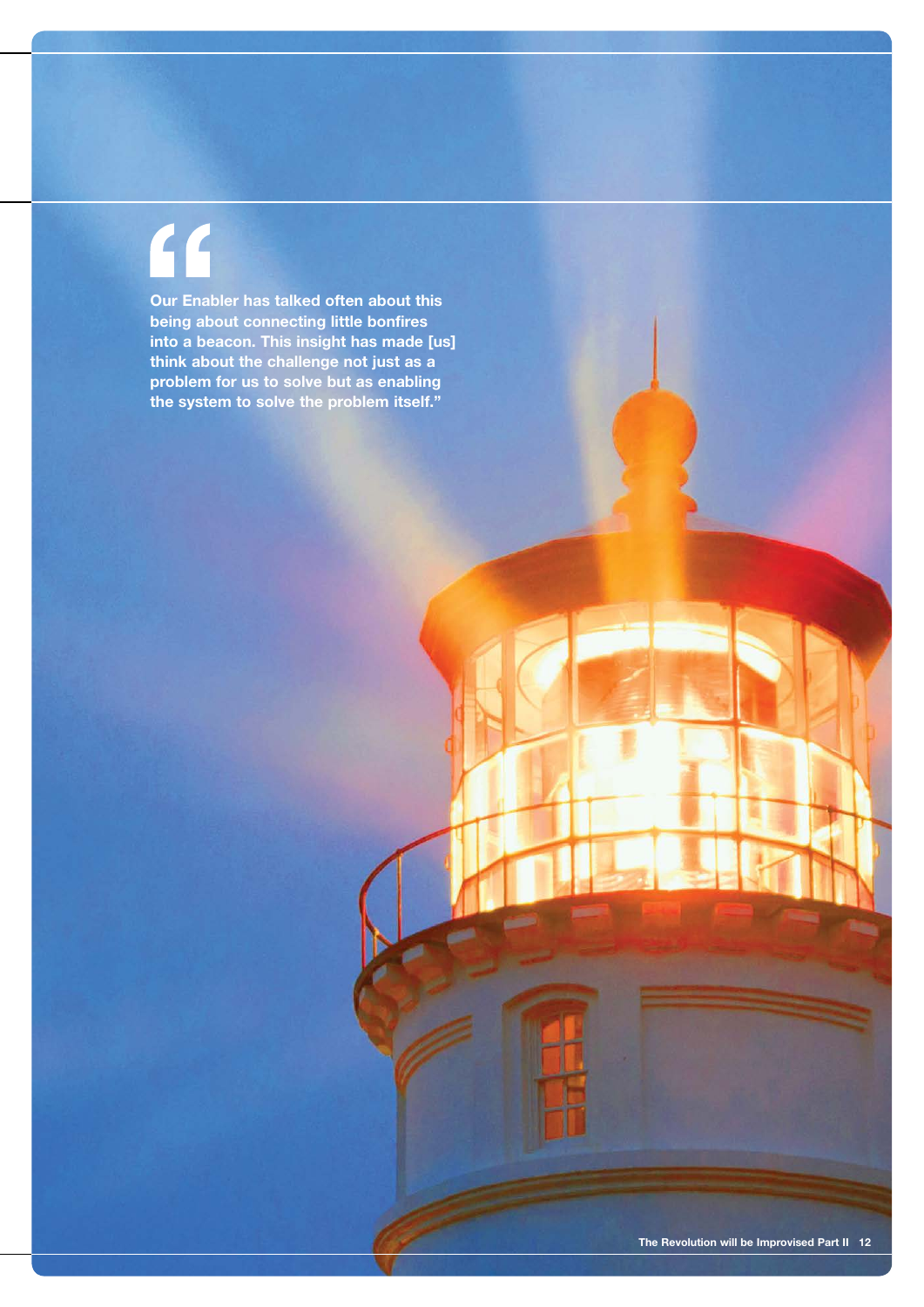# $\mathcal{C}$

**Our Enabler has talked often about this being about connecting little bonfires into a beacon. This insight has made [us] think about the challenge not just as a problem for us to solve but as enabling the system to solve the problem itself."**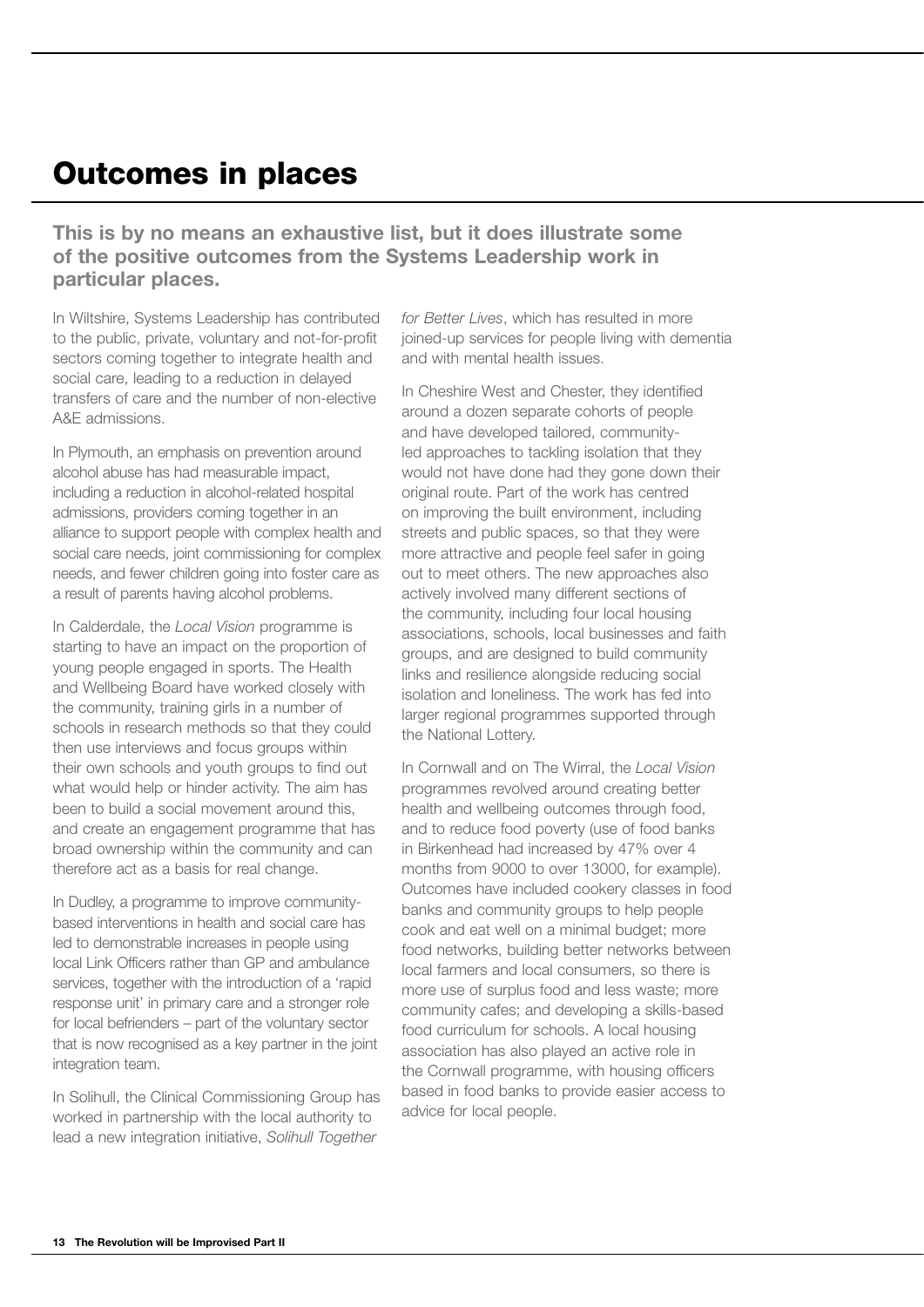# Outcomes in places

**This is by no means an exhaustive list, but it does illustrate some of the positive outcomes from the Systems Leadership work in particular places.**

In Wiltshire, Systems Leadership has contributed to the public, private, voluntary and not-for-profit sectors coming together to integrate health and social care, leading to a reduction in delayed transfers of care and the number of non-elective A&E admissions.

In Plymouth, an emphasis on prevention around alcohol abuse has had measurable impact, including a reduction in alcohol-related hospital admissions, providers coming together in an alliance to support people with complex health and social care needs, joint commissioning for complex needs, and fewer children going into foster care as a result of parents having alcohol problems.

In Calderdale, the *Local Vision* programme is starting to have an impact on the proportion of young people engaged in sports. The Health and Wellbeing Board have worked closely with the community, training girls in a number of schools in research methods so that they could then use interviews and focus groups within their own schools and youth groups to find out what would help or hinder activity. The aim has been to build a social movement around this, and create an engagement programme that has broad ownership within the community and can therefore act as a basis for real change.

In Dudley, a programme to improve communitybased interventions in health and social care has led to demonstrable increases in people using local Link Officers rather than GP and ambulance services, together with the introduction of a 'rapid response unit' in primary care and a stronger role for local befrienders – part of the voluntary sector that is now recognised as a key partner in the joint integration team.

In Solihull, the Clinical Commissioning Group has worked in partnership with the local authority to lead a new integration initiative, *Solihull Together* 

*for Better Lives*, which has resulted in more joined-up services for people living with dementia and with mental health issues.

In Cheshire West and Chester, they identified around a dozen separate cohorts of people and have developed tailored, communityled approaches to tackling isolation that they would not have done had they gone down their original route. Part of the work has centred on improving the built environment, including streets and public spaces, so that they were more attractive and people feel safer in going out to meet others. The new approaches also actively involved many different sections of the community, including four local housing associations, schools, local businesses and faith groups, and are designed to build community links and resilience alongside reducing social isolation and loneliness. The work has fed into larger regional programmes supported through the National Lottery.

In Cornwall and on The Wirral, the *Local Vision* programmes revolved around creating better health and wellbeing outcomes through food, and to reduce food poverty (use of food banks in Birkenhead had increased by 47% over 4 months from 9000 to over 13000, for example). Outcomes have included cookery classes in food banks and community groups to help people cook and eat well on a minimal budget; more food networks, building better networks between local farmers and local consumers, so there is more use of surplus food and less waste; more community cafes; and developing a skills-based food curriculum for schools. A local housing association has also played an active role in the Cornwall programme, with housing officers based in food banks to provide easier access to advice for local people.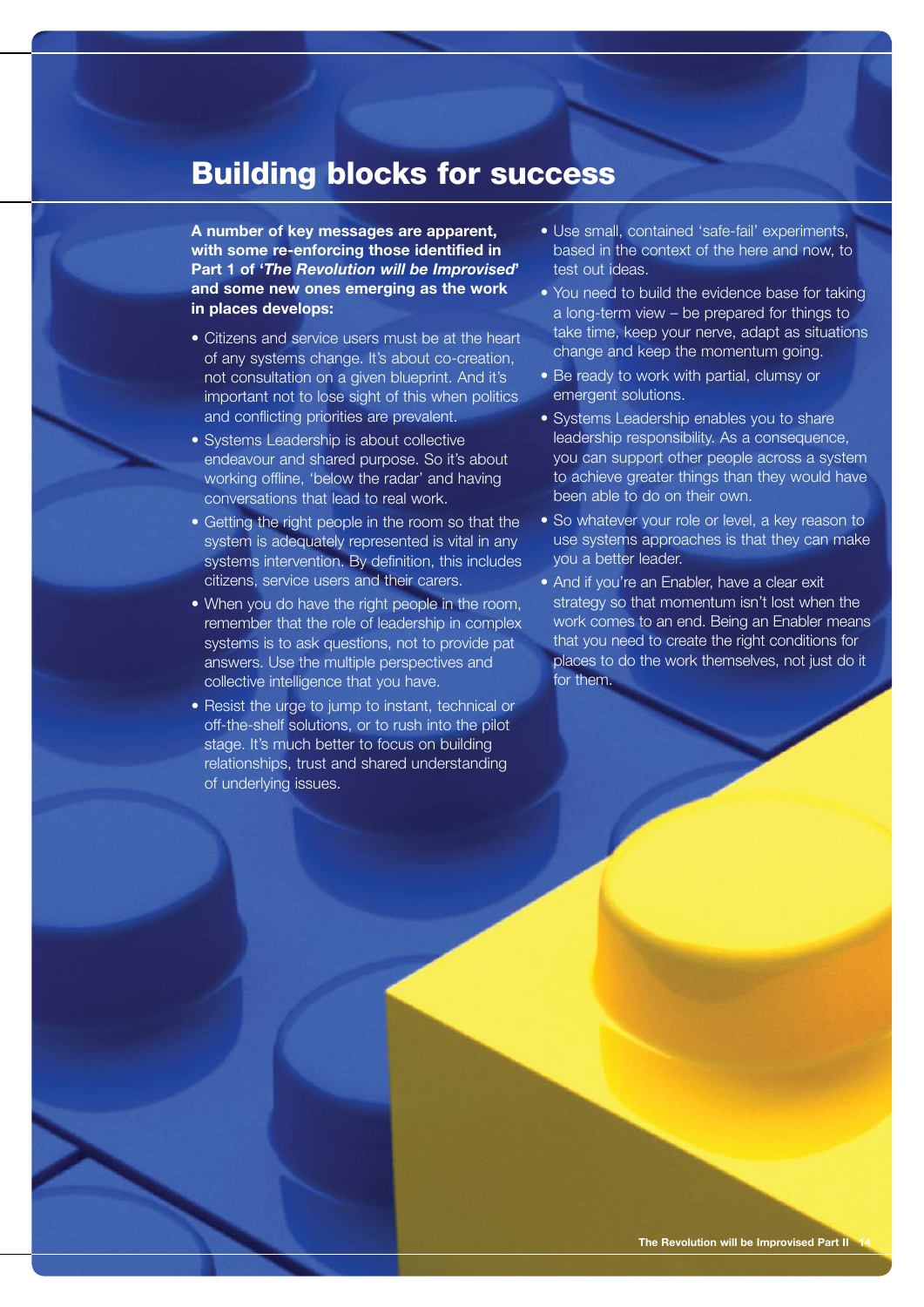### Building blocks for success

**A number of key messages are apparent, with some re-enforcing those identified in Part 1 of '***The Revolution will be Improvised***' and some new ones emerging as the work in places develops:**

- Citizens and service users must be at the heart of any systems change. It's about co-creation, not consultation on a given blueprint. And it's important not to lose sight of this when politics and conflicting priorities are prevalent.
- Systems Leadership is about collective endeavour and shared purpose. So it's about working offline, 'below the radar' and having conversations that lead to real work.
- Getting the right people in the room so that the system is adequately represented is vital in any systems intervention. By definition, this includes citizens, service users and their carers.
- When you do have the right people in the room, remember that the role of leadership in complex systems is to ask questions, not to provide pat answers. Use the multiple perspectives and collective intelligence that you have.
- Resist the urge to jump to instant, technical or off-the-shelf solutions, or to rush into the pilot stage. It's much better to focus on building relationships, trust and shared understanding of underlying issues.
- Use small, contained 'safe-fail' experiments, based in the context of the here and now, to test out ideas.
- You need to build the evidence base for taking a long-term view – be prepared for things to take time, keep your nerve, adapt as situations change and keep the momentum going.
- Be ready to work with partial, clumsy or emergent solutions.
- Systems Leadership enables you to share leadership responsibility. As a consequence, you can support other people across a system to achieve greater things than they would have been able to do on their own.
- So whatever your role or level, a key reason to use systems approaches is that they can make you a better leader.
- And if you're an Enabler, have a clear exit strategy so that momentum isn't lost when the work comes to an end. Being an Enabler means that you need to create the right conditions for places to do the work themselves, not just do it for them.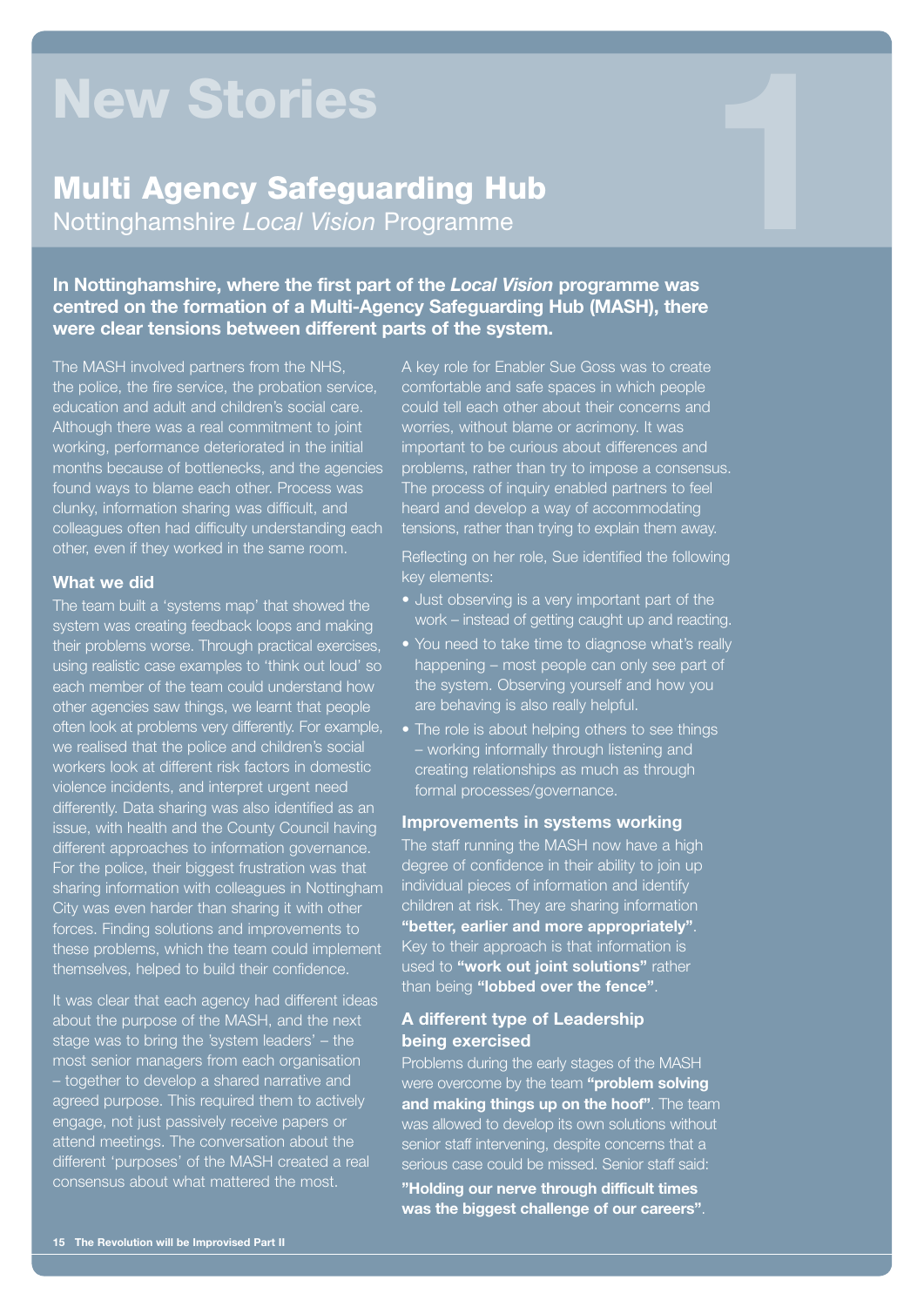# New Stories

# Multi Agency Safeguarding Hub **New Stories<br>Multi Agency Safeguarding Hub<br>Nottinghamshire** *Local Vision* **Programme**

**In Nottinghamshire, where the first part of the** *Local Vision* **programme was centred on the formation of a Multi-Agency Safeguarding Hub (MASH), there were clear tensions between different parts of the system.** 

The MASH involved partners from the NHS, the police, the fire service, the probation service, education and adult and children's social care. Although there was a real commitment to joint working, performance deteriorated in the initial months because of bottlenecks, and the agencies found ways to blame each other. Process was clunky, information sharing was difficult, and colleagues often had difficulty understanding each other, even if they worked in the same room.

#### **What we did**

The team built a 'systems map' that showed the system was creating feedback loops and making their problems worse. Through practical exercises, using realistic case examples to 'think out loud' so each member of the team could understand how other agencies saw things, we learnt that people often look at problems very differently. For example, we realised that the police and children's social workers look at different risk factors in domestic violence incidents, and interpret urgent need differently. Data sharing was also identified as an issue, with health and the County Council having different approaches to information governance. For the police, their biggest frustration was that sharing information with colleagues in Nottingham City was even harder than sharing it with other forces. Finding solutions and improvements to these problems, which the team could implement themselves, helped to build their confidence.

It was clear that each agency had different ideas about the purpose of the MASH, and the next stage was to bring the 'system leaders' – the most senior managers from each organisation – together to develop a shared narrative and agreed purpose. This required them to actively engage, not just passively receive papers or attend meetings. The conversation about the different 'purposes' of the MASH created a real consensus about what mattered the most.

A key role for Enabler Sue Goss was to create comfortable and safe spaces in which people could tell each other about their concerns and worries, without blame or acrimony. It was important to be curious about differences and problems, rather than try to impose a consensus. The process of inquiry enabled partners to feel heard and develop a way of accommodating tensions, rather than trying to explain them away.

Reflecting on her role, Sue identified the following key elements:

- Just observing is a very important part of the work – instead of getting caught up and reacting.
- You need to take time to diagnose what's really happening – most people can only see part of the system. Observing yourself and how you are behaving is also really helpful.
- The role is about helping others to see things – working informally through listening and creating relationships as much as through formal processes/governance.

#### **Improvements in systems working**

The staff running the MASH now have a high degree of confidence in their ability to join up individual pieces of information and identify children at risk. They are sharing information **"better, earlier and more appropriately"**. Key to their approach is that information is used to **"work out joint solutions"** rather than being **"lobbed over the fence"**.

#### **A different type of Leadership being exercised**

Problems during the early stages of the MASH were overcome by the team **"problem solving and making things up on the hoof"**. The team was allowed to develop its own solutions without senior staff intervening, despite concerns that a serious case could be missed. Senior staff said:

**"Holding our nerve through difficult times was the biggest challenge of our careers"**.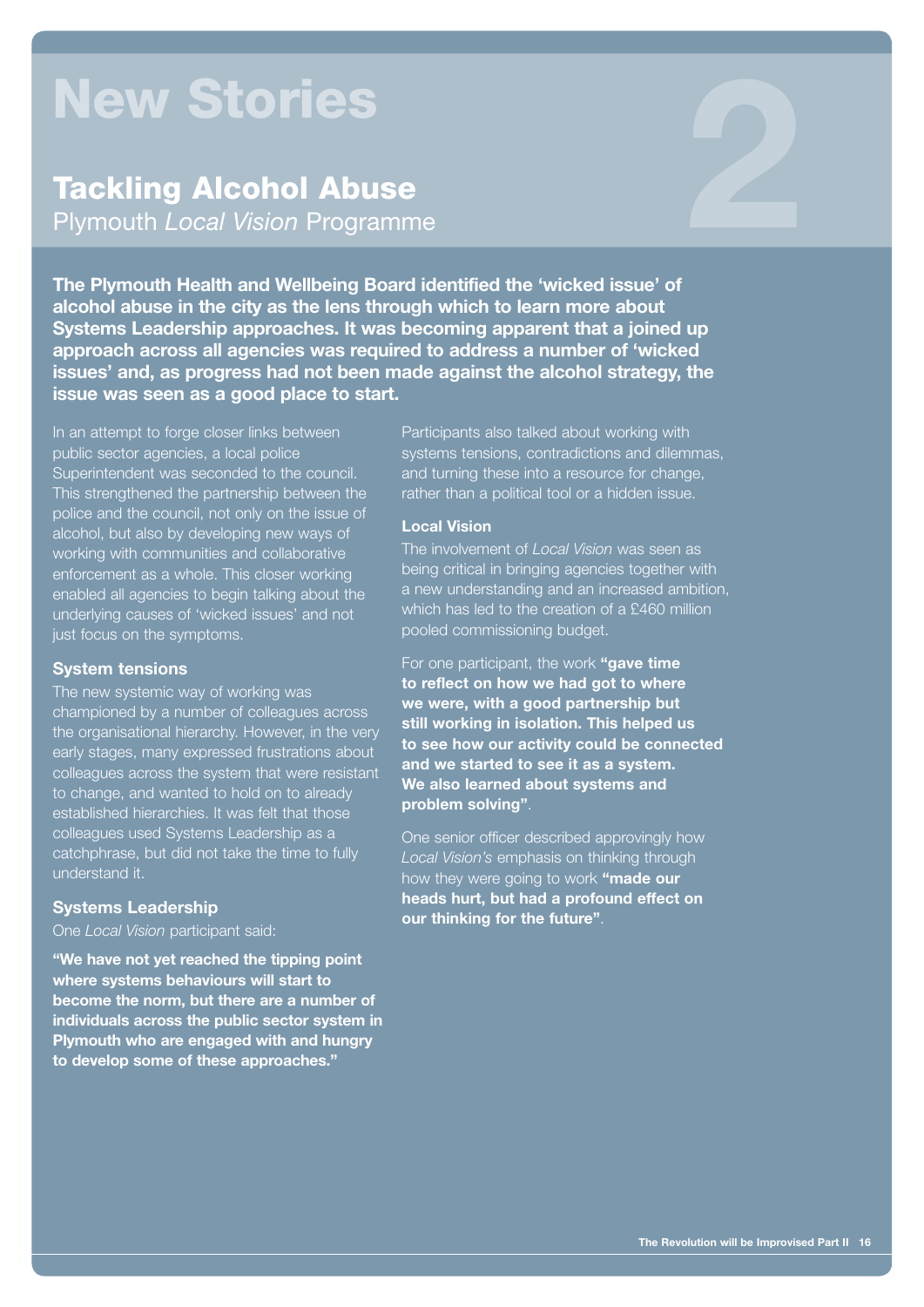# New Stories

# Tackling Alcohol Abuse **New Stories<br>Tackling Alcohol Abuse<br>Plymouth** *Local Vision* **Programme**

**The Plymouth Health and Wellbeing Board identified the 'wicked issue' of alcohol abuse in the city as the lens through which to learn more about Systems Leadership approaches. It was becoming apparent that a joined up approach across all agencies was required to address a number of 'wicked issues' and, as progress had not been made against the alcohol strategy, the issue was seen as a good place to start.**

In an attempt to forge closer links between public sector agencies, a local police Superintendent was seconded to the council. This strengthened the partnership between the police and the council, not only on the issue of alcohol, but also by developing new ways of working with communities and collaborative enforcement as a whole. This closer working enabled all agencies to begin talking about the underlying causes of 'wicked issues' and not just focus on the symptoms.

#### **System tensions**

The new systemic way of working was championed by a number of colleagues across the organisational hierarchy. However, in the very early stages, many expressed frustrations about colleagues across the system that were resistant to change, and wanted to hold on to already established hierarchies. It was felt that those colleagues used Systems Leadership as a catchphrase, but did not take the time to fully understand it.

#### **Systems Leadership**

#### One *Local Vision* participant said:

**"We have not yet reached the tipping point where systems behaviours will start to become the norm, but there are a number of individuals across the public sector system in Plymouth who are engaged with and hungry to develop some of these approaches."**

Participants also talked about working with systems tensions, contradictions and dilemmas, and turning these into a resource for change, rather than a political tool or a hidden issue.

#### **Local Vision**

The involvement of *Local Vision* was seen as being critical in bringing agencies together with a new understanding and an increased ambition, which has led to the creation of a £460 million pooled commissioning budget.

For one participant, the work **"gave time to reflect on how we had got to where we were, with a good partnership but still working in isolation. This helped us to see how our activity could be connected and we started to see it as a system. We also learned about systems and problem solving"**.

One senior officer described approvingly how *Local Vision's* emphasis on thinking through how they were going to work **"made our heads hurt, but had a profound effect on our thinking for the future"**.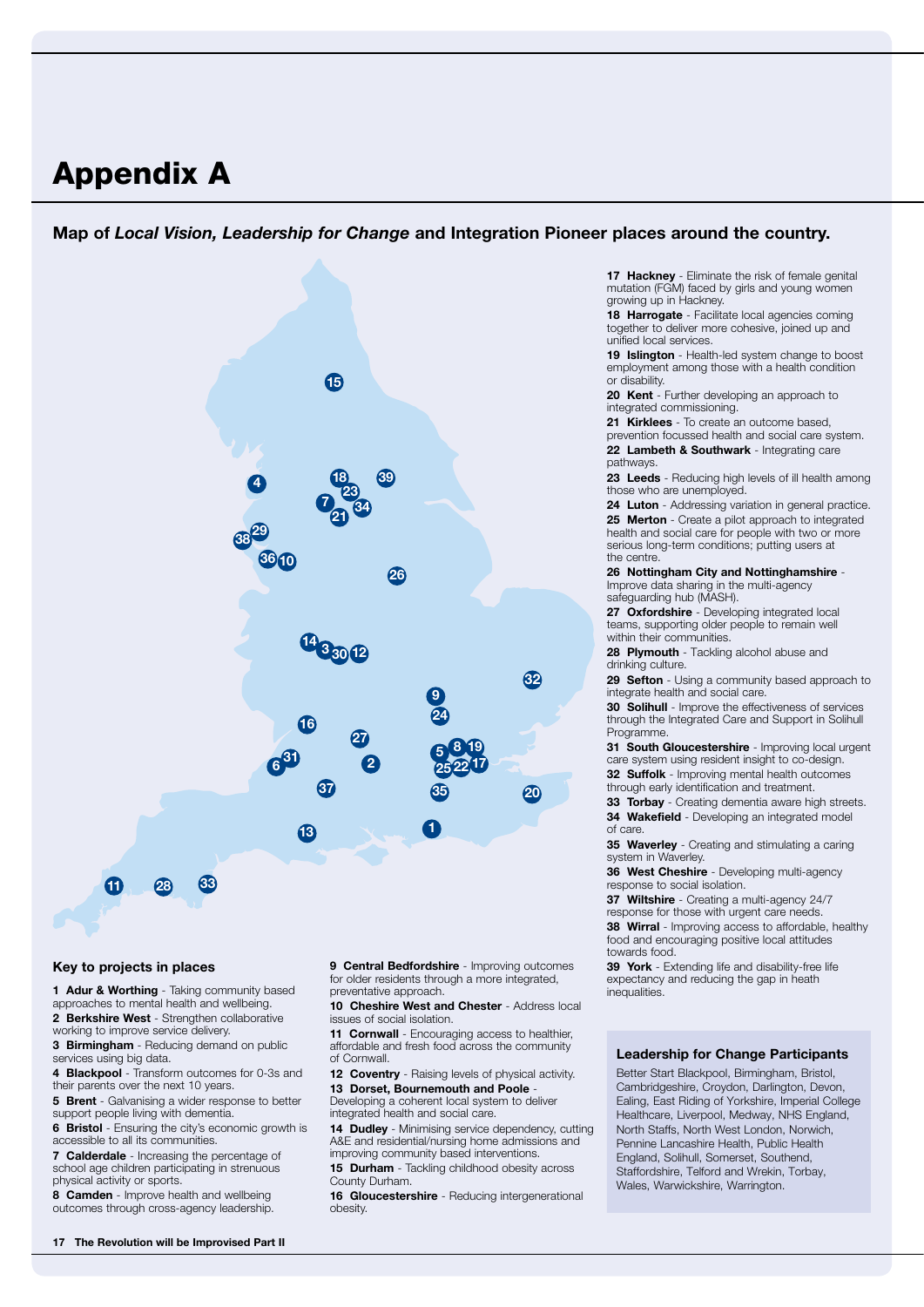## Appendix A

#### **Map of** *Local Vision, Leadership for Change* **and Integration Pioneer places around the country.**



#### **Key to projects in places**

**1 Adur & Worthing** - Taking community based approaches to mental health and wellbeing. **2 Berkshire West** - Strengthen collaborative

- working to improve service delivery. **3 Birmingham** - Reducing demand on public
- services using big data. **4 Blackpool** - Transform outcomes for 0-3s and
- their parents over the next 10 years.

**5 Brent** - Galvanising a wider response to better support people living with dementia.

**6 Bristol** - Ensuring the city's economic growth is accessible to all its communities.

**7 Calderdale** - Increasing the percentage of school age children participating in strenuous physical activity or sports.

**8 Camden** - Improve health and wellbeing outcomes through cross-agency leadership. **9 Central Bedfordshire** - Improving outcomes for older residents through a more integrated, preventative approach.

**10 Cheshire West and Chester** - Address local issues of social isolation.

**11 Cornwall** - Encouraging access to healthier, affordable and fresh food across the community of Cornwall.

**12 Coventry** - Raising levels of physical activity. **13 Dorset, Bournemouth and Poole** 

Developing a coherent local system to deliver integrated health and social care.

**14 Dudley** - Minimising service dependency, cutting A&E and residential/nursing home admissions and improving community based interventions.

**15 Durham** - Tackling childhood obesity across County Durham.

**16 Gloucestershire** - Reducing intergenerational obesity.

**17 Hackney** - Eliminate the risk of female genital mutation (FGM) faced by girls and young women growing up in Hackney.

18 Harrogate - Facilitate local agencies coming together to deliver more cohesive, joined up and unified local services.

**19 Islington** - Health-led system change to boost employment among those with a health condition or disability.

**20 Kent** - Further developing an approach to integrated commissioning.

**21 Kirklees** - To create an outcome based, prevention focussed health and social care system. **22 Lambeth & Southwark** - Integrating care pathways.

**23 Leeds** - Reducing high levels of ill health among those who are unemployed.

**24 Luton** - Addressing variation in general practice. **25 Merton** - Create a pilot approach to integrated health and social care for people with two or more serious long-term conditions; putting users at the centre.

**26 Nottingham City and Nottinghamshire** - Improve data sharing in the multi-agency safeguarding hub (MASH).

**27 Oxfordshire** - Developing integrated local teams, supporting older people to remain well within their communities.

**28 Plymouth** - Tackling alcohol abuse and drinking culture.

**29 Sefton** - Using a community based approach to integrate health and social care.

**30 Solihull** - Improve the effectiveness of services through the Integrated Care and Support in Solihull Programme.

**31 South Gloucestershire** - Improving local urgent care system using resident insight to co-design.

**32 Suffolk** - Improving mental health outcomes through early identification and treatment.

**33 Torbay** - Creating dementia aware high streets. **34 Wakefield** - Developing an integrated model

of care.

**35 Waverley** - Creating and stimulating a caring system in Waverley.

**36 West Cheshire** - Developing multi-agency response to social isolation.

**37 Wiltshire** - Creating a multi-agency 24/7

response for those with urgent care needs. **38 Wirral** - Improving access to affordable, healthy food and encouraging positive local attitudes

towards food. **39 York** - Extending life and disability-free life expectancy and reducing the gap in heath inequalities.

#### **Leadership for Change Participants**

Better Start Blackpool, Birmingham, Bristol, Cambridgeshire, Croydon, Darlington, Devon, Ealing, East Riding of Yorkshire, Imperial College Healthcare, Liverpool, Medway, NHS England, North Staffs, North West London, Norwich, Pennine Lancashire Health, Public Health England, Solihull, Somerset, Southend, Staffordshire, Telford and Wrekin, Torbay, Wales, Warwickshire, Warrington.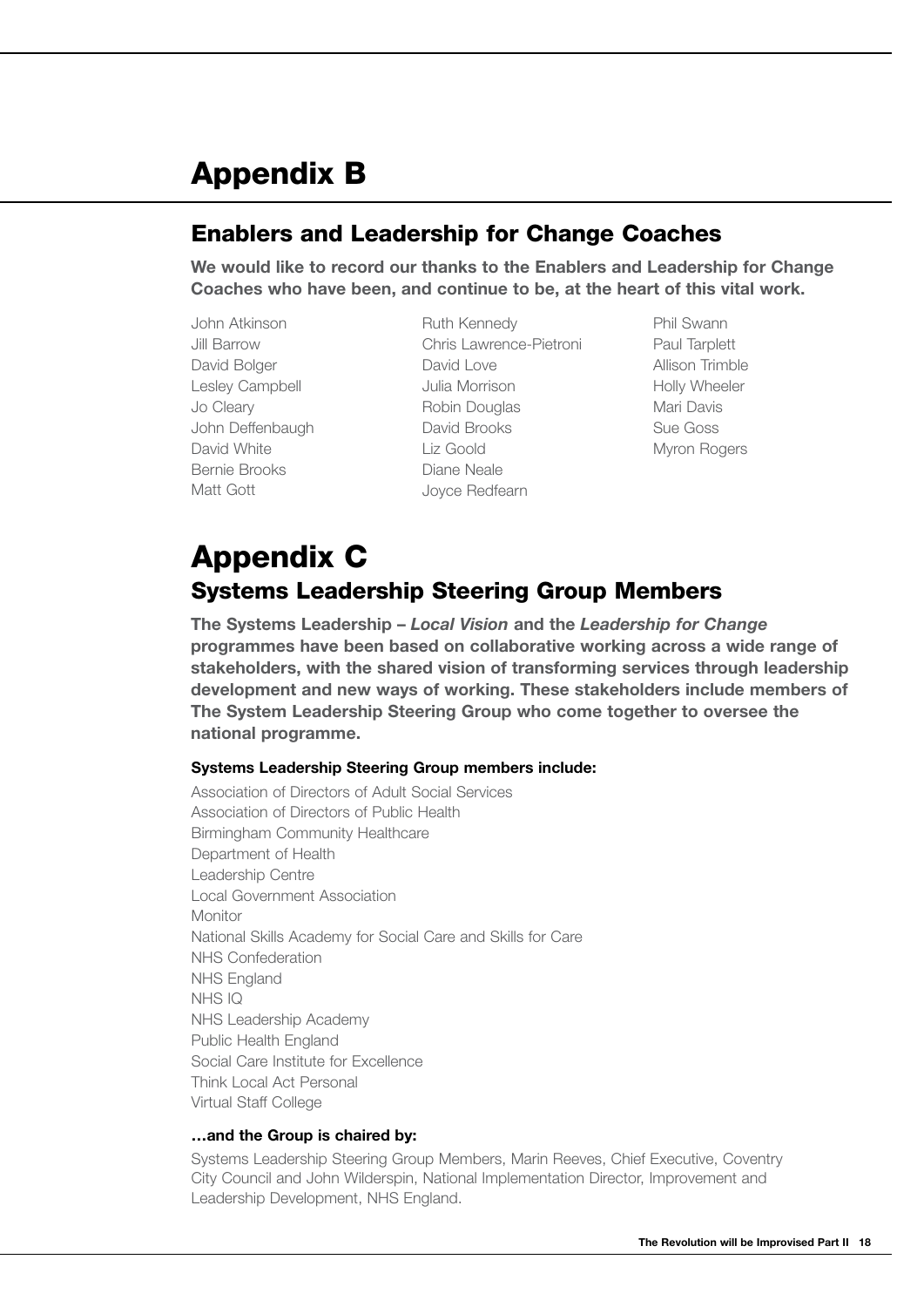# Appendix B

### Enablers and Leadership for Change Coaches

**We would like to record our thanks to the Enablers and Leadership for Change Coaches who have been, and continue to be, at the heart of this vital work.**

- John Atkinson Jill Barrow David Bolger Lesley Campbell Jo Cleary John Deffenbaugh David White Bernie Brooks Matt Gott
- Ruth Kennedy Chris Lawrence-Pietroni David Love Julia Morrison Robin Douglas David Brooks Liz Goold Diane Neale Joyce Redfearn
- Phil Swann Paul Tarplett Allison Trimble Holly Wheeler Mari Davis Sue Goss Myron Rogers

### Appendix C Systems Leadership Steering Group Members

**The Systems Leadership –** *Local Vision* **and the** *Leadership for Change* **programmes have been based on collaborative working across a wide range of stakeholders, with the shared vision of transforming services through leadership development and new ways of working. These stakeholders include members of The System Leadership Steering Group who come together to oversee the national programme.**

#### **Systems Leadership Steering Group members include:**

Association of Directors of Adult Social Services Association of Directors of Public Health Birmingham Community Healthcare Department of Health Leadership Centre Local Government Association Monitor National Skills Academy for Social Care and Skills for Care NHS Confederation NHS England NHS IQ NHS Leadership Academy Public Health England Social Care Institute for Excellence Think Local Act Personal Virtual Staff College

#### **…and the Group is chaired by:**

Systems Leadership Steering Group Members, Marin Reeves, Chief Executive, Coventry City Council and John Wilderspin, National Implementation Director, Improvement and Leadership Development, NHS England.